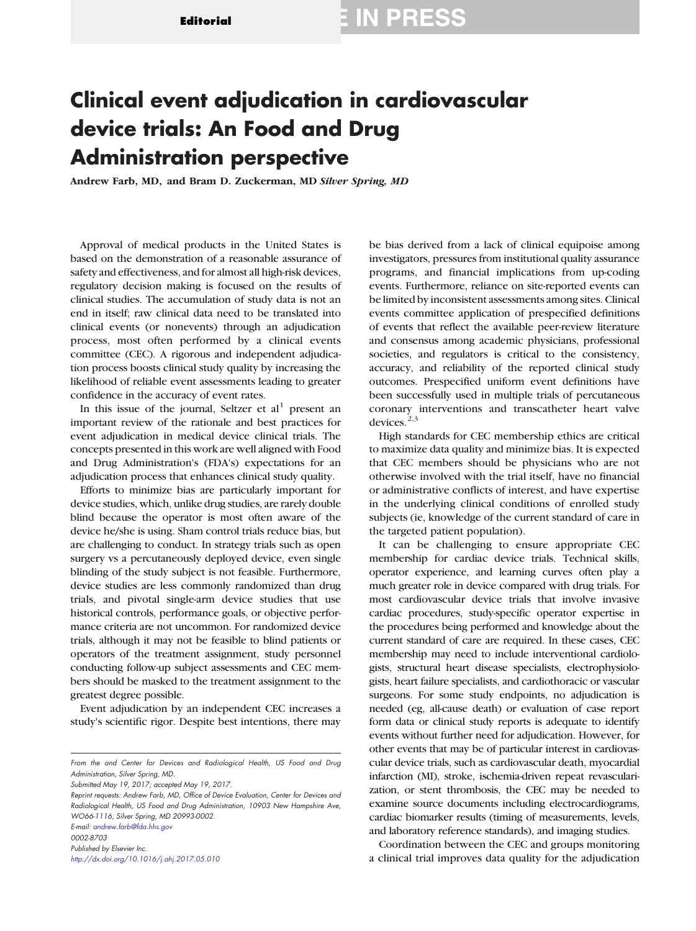## Clinical event adjudication in cardiovascular device trials: An Food and Drug Administration perspective

Andrew Farb, MD, and Bram D. Zuckerman, MD Silver Spring, MD

Approval of medical products in the United States is based on the demonstration of a reasonable assurance of safety and effectiveness, and for almost all high-risk devices, regulatory decision making is focused on the results of clinical studies. The accumulation of study data is not an end in itself; raw clinical data need to be translated into clinical events (or nonevents) through an adjudication process, most often performed by a clinical events committee (CEC). A rigorous and independent adjudication process boosts clinical study quality by increasing the likelihood of reliable event assessments leading to greater confidence in the accuracy of event rates.

In this issue of the journa[l](#page-1-0), Seltzer et  $al<sup>1</sup>$  $al<sup>1</sup>$  $al<sup>1</sup>$  present an important review of the rationale and best practices for event adjudication in medical device clinical trials. The concepts presented in this work are well aligned with Food and Drug Administration's (FDA's) expectations for an adjudication process that enhances clinical study quality.

Efforts to minimize bias are particularly important for device studies, which, unlike drug studies, are rarely double blind because the operator is most often aware of the device he/she is using. Sham control trials reduce bias, but are challenging to conduct. In strategy trials such as open surgery vs a percutaneously deployed device, even single blinding of the study subject is not feasible. Furthermore, device studies are less commonly randomized than drug trials, and pivotal single-arm device studies that use historical controls, performance goals, or objective performance criteria are not uncommon. For randomized device trials, although it may not be feasible to blind patients or operators of the treatment assignment, study personnel conducting follow-up subject assessments and CEC members should be masked to the treatment assignment to the greatest degree possible.

Event adjudication by an independent CEC increases a study's scientific rigor. Despite best intentions, there may

Submitted May 19, 2017; accepted May 19, 2017.

<http://dx.doi.org/10.1016/j.ahj.2017.05.010>

be bias derived from a lack of clinical equipoise among investigators, pressures from institutional quality assurance programs, and financial implications from up-coding events. Furthermore, reliance on site-reported events can be limited by inconsistent assessments among sites. Clinical events committee application of prespecified definitions of events that reflect the available peer-review literature and consensus among academic physicians, professional societies, and regulators is critical to the consistency, accuracy, and reliability of the reported clinical study outcomes. Prespecified uniform event definitions have been successfully used in multiple trials of percutaneous coronary interventions and transcatheter heart valve devices[.](#page-2-0)<sup>[2,3](#page-2-0)</sup>

High standards for CEC membership ethics are critical to maximize data quality and minimize bias. It is expected that CEC members should be physicians who are not otherwise involved with the trial itself, have no financial or administrative conflicts of interest, and have expertise in the underlying clinical conditions of enrolled study subjects (ie, knowledge of the current standard of care in the targeted patient population).

It can be challenging to ensure appropriate CEC membership for cardiac device trials. Technical skills, operator experience, and learning curves often play a much greater role in device compared with drug trials. For most cardiovascular device trials that involve invasive cardiac procedures, study-specific operator expertise in the procedures being performed and knowledge about the current standard of care are required. In these cases, CEC membership may need to include interventional cardiologists, structural heart disease specialists, electrophysiologists, heart failure specialists, and cardiothoracic or vascular surgeons. For some study endpoints, no adjudication is needed (eg, all-cause death) or evaluation of case report form data or clinical study reports is adequate to identify events without further need for adjudication. However, for other events that may be of particular interest in cardiovascular device trials, such as cardiovascular death, myocardial infarction (MI), stroke, ischemia-driven repeat revascularization, or stent thrombosis, the CEC may be needed to examine source documents including electrocardiograms, cardiac biomarker results (timing of measurements, levels, and laboratory reference standards), and imaging studies.

Coordination between the CEC and groups monitoring a clinical trial improves data quality for the adjudication

From the and Center for Devices and Radiological Health, US Food and Drug Administration, Silver Spring, MD.

Reprint requests: Andrew Farb, MD, Office of Device Evaluation, Center for Devices and Radiological Health, US Food and Drug Administration, 10903 New Hampshire Ave, WO66-1116, Silver Spring, MD 20993-0002. E-mail: [andrew.farb@fda.hhs.gov](mailto:andrew.farb@fda.hhs.gov) 0002-8703 Published by Elsevier Inc.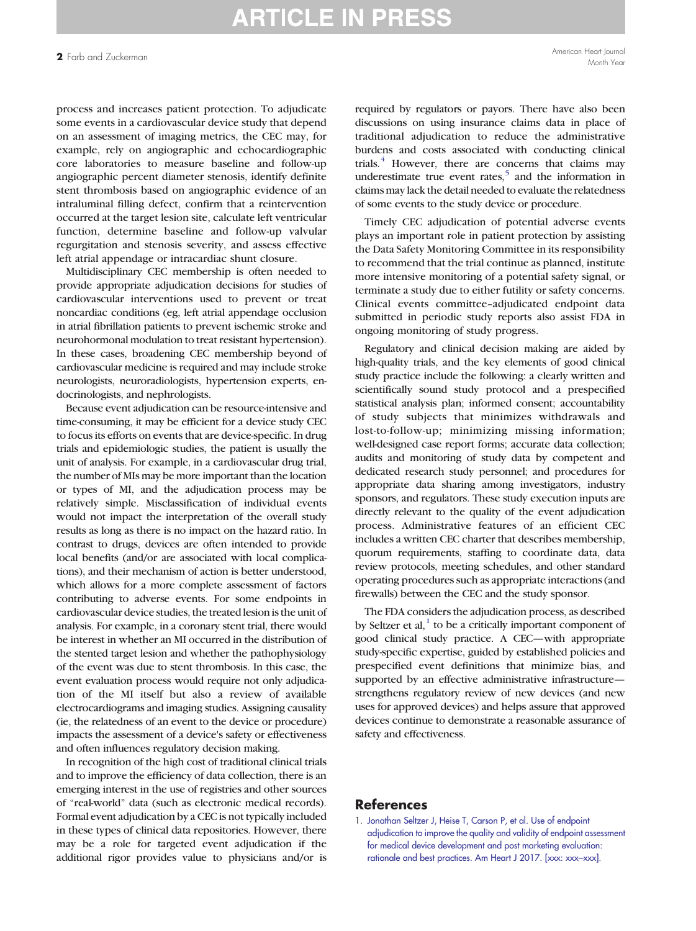## **ARTICLE IN PRESS**

<span id="page-1-0"></span><sup>2</sup> Farb and Zuckerman American Heart Journal Month Year

process and increases patient protection. To adjudicate some events in a cardiovascular device study that depend on an assessment of imaging metrics, the CEC may, for example, rely on angiographic and echocardiographic core laboratories to measure baseline and follow-up angiographic percent diameter stenosis, identify definite stent thrombosis based on angiographic evidence of an intraluminal filling defect, confirm that a reintervention occurred at the target lesion site, calculate left ventricular function, determine baseline and follow-up valvular regurgitation and stenosis severity, and assess effective left atrial appendage or intracardiac shunt closure.

Multidisciplinary CEC membership is often needed to provide appropriate adjudication decisions for studies of cardiovascular interventions used to prevent or treat noncardiac conditions (eg, left atrial appendage occlusion in atrial fibrillation patients to prevent ischemic stroke and neurohormonal modulation to treat resistant hypertension). In these cases, broadening CEC membership beyond of cardiovascular medicine is required and may include stroke neurologists, neuroradiologists, hypertension experts, endocrinologists, and nephrologists.

Because event adjudication can be resource-intensive and time-consuming, it may be efficient for a device study CEC to focus its efforts on events that are device-specific. In drug trials and epidemiologic studies, the patient is usually the unit of analysis. For example, in a cardiovascular drug trial, the number of MIs may be more important than the location or types of MI, and the adjudication process may be relatively simple. Misclassification of individual events would not impact the interpretation of the overall study results as long as there is no impact on the hazard ratio. In contrast to drugs, devices are often intended to provide local benefits (and/or are associated with local complications), and their mechanism of action is better understood, which allows for a more complete assessment of factors contributing to adverse events. For some endpoints in cardiovascular device studies, the treated lesion is the unit of analysis. For example, in a coronary stent trial, there would be interest in whether an MI occurred in the distribution of the stented target lesion and whether the pathophysiology of the event was due to stent thrombosis. In this case, the event evaluation process would require not only adjudication of the MI itself but also a review of available electrocardiograms and imaging studies. Assigning causality (ie, the relatedness of an event to the device or procedure) impacts the assessment of a device's safety or effectiveness and often influences regulatory decision making.

In recognition of the high cost of traditional clinical trials and to improve the efficiency of data collection, there is an emerging interest in the use of registries and other sources of "real-world" data (such as electronic medical records). Formal event adjudication by a CEC is not typically included in these types of clinical data repositories. However, there may be a role for targeted event adjudication if the additional rigor provides value to physicians and/or is required by regulators or payors. There have also been discussions on using insurance claims data in place of traditional adjudication to reduce the administrative burdens and costs associated with conducting clinical trials[.](#page-2-0)<sup>[4](#page-2-0)</sup> However, there are concerns that claims may underestimate true event rates[,](#page-2-0)<sup>[5](#page-2-0)</sup> and the information in claims may lack the detail needed to evaluate the relatedness of some events to the study device or procedure.

Timely CEC adjudication of potential adverse events plays an important role in patient protection by assisting the Data Safety Monitoring Committee in its responsibility to recommend that the trial continue as planned, institute more intensive monitoring of a potential safety signal, or terminate a study due to either futility or safety concerns. Clinical events committee–adjudicated endpoint data submitted in periodic study reports also assist FDA in ongoing monitoring of study progress.

Regulatory and clinical decision making are aided by high-quality trials, and the key elements of good clinical study practice include the following: a clearly written and scientifically sound study protocol and a prespecified statistical analysis plan; informed consent; accountability of study subjects that minimizes withdrawals and lost-to-follow-up; minimizing missing information; well-designed case report forms; accurate data collection; audits and monitoring of study data by competent and dedicated research study personnel; and procedures for appropriate data sharing among investigators, industry sponsors, and regulators. These study execution inputs are directly relevant to the quality of the event adjudication process. Administrative features of an efficient CEC includes a written CEC charter that describes membership, quorum requirements, staffing to coordinate data, data review protocols, meeting schedules, and other standard operating procedures such as appropriate interactions (and firewalls) between the CEC and the study sponsor.

The FDA considers the adjudication process, as described by Seltzer et al, $<sup>1</sup>$  to be a critically important component of</sup> good clinical study practice. A CEC—with appropriate study-specific expertise, guided by established policies and prespecified event definitions that minimize bias, and supported by an effective administrative infrastructure strengthens regulatory review of new devices (and new uses for approved devices) and helps assure that approved devices continue to demonstrate a reasonable assurance of safety and effectiveness.

## References

1. [Jonathan Seltzer J, Heise T, Carson P, et al. Use of endpoint](http://refhub.elsevier.com/S0002-8703(17)30151-5/rf0005) [adjudication to improve the quality and validity of endpoint assessment](http://refhub.elsevier.com/S0002-8703(17)30151-5/rf0005) [for medical device development and post marketing evaluation:](http://refhub.elsevier.com/S0002-8703(17)30151-5/rf0005) [rationale and best practices. Am Heart J 2017. \[xxx: xxx](http://refhub.elsevier.com/S0002-8703(17)30151-5/rf0005)–xxx].